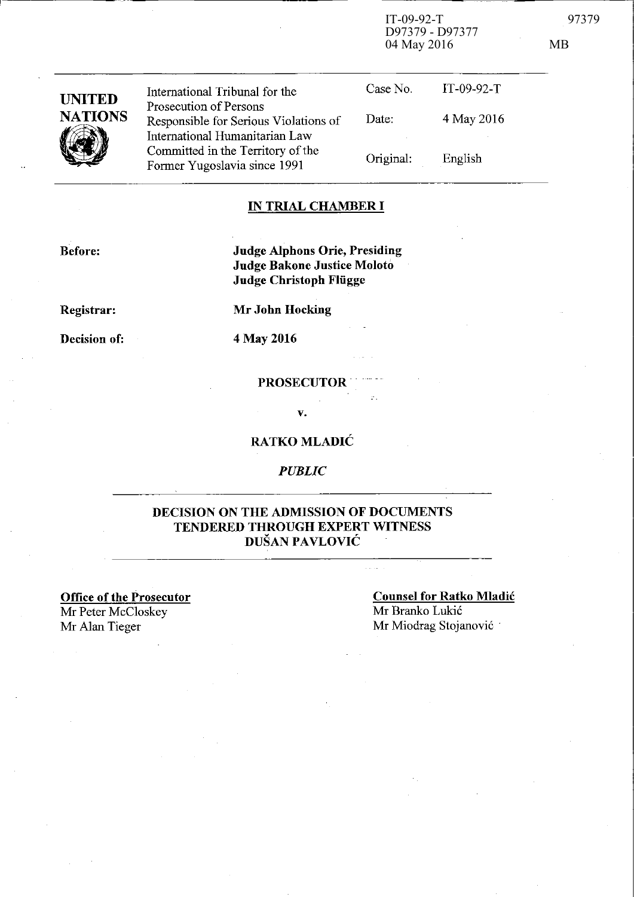$IT-09-92-T$ D97379 - D97377 04 May 2016

97379

 $MB$ 

| <b>UNITED</b><br><b>NATIONS</b> | International Tribunal for the<br>Prosecution of Persons                                                                                     | Case No.<br>Date: | IT-09-92- $T$<br>4 May 2016 |
|---------------------------------|----------------------------------------------------------------------------------------------------------------------------------------------|-------------------|-----------------------------|
|                                 | Responsible for Serious Violations of<br>International Humanitarian Law<br>Committed in the Territory of the<br>Former Yugoslavia since 1991 | Original:         | English                     |

### **IN TRIAL CHAMBER I**

**Before:** 

**Judge Alphons Orie, Presiding** Judge Bakone Justice Moloto **Judge Christoph Flügge** 

Registrar:

Decision of:

**Mr John Hocking** 

4 May 2016

**PROSECUTOR** 

v.

#### **RATKO MLADIĆ**

**PUBLIC** 

#### DECISION ON THE ADMISSION OF DOCUMENTS TENDERED THROUGH EXPERT WITNESS DUŠAN PAVLOVIĆ

**Office of the Prosecutor** Mr Peter McCloskey Mr Alan Tieger

**Counsel for Ratko Mladić** Mr Branko Lukić Mr Miodrag Stojanović

 $\pi$  is  $\pi$  .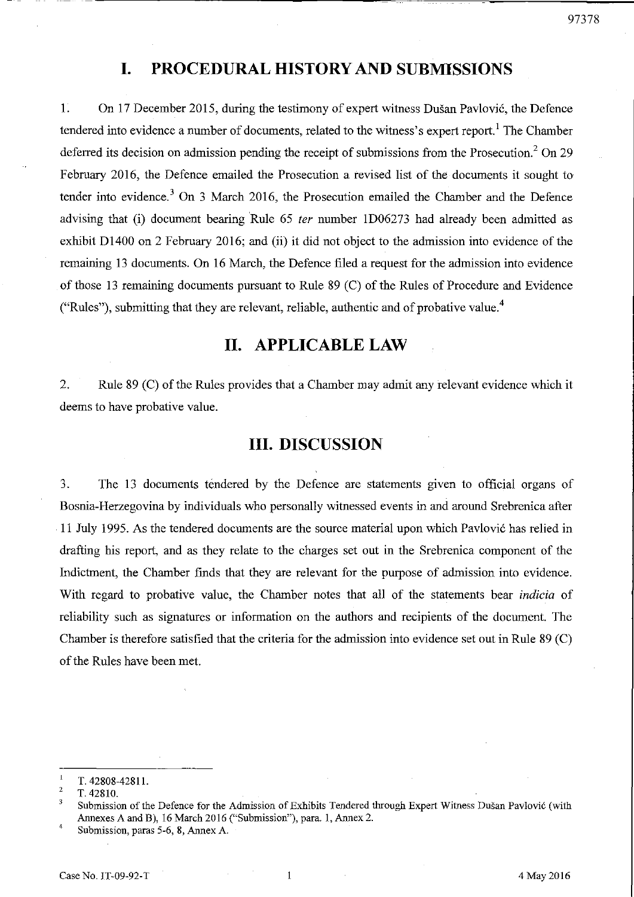## **1. PROCEDURAL HISTORY AND SUBMISSIONS**

1. Оп 17 December 2015, during the testimony of expert witness Dusan Pavlovic, the Defence tendered into evidence a number of documents, related to the witness's expert report.<sup>1</sup> The Chamber deferred its decision on admission pending the receipt of submissions from the Prosecution.<sup>2</sup> On 29 February 2016, the Defence emailed the Prosecution a revised list of the documents it sought to tender into evidence.<sup>3</sup> On 3 March 2016, the Prosecution emailed the Chamber and the Defence advising that (i) document bearing 'Ru1e 65 *ter* number lD06273 had a1ready Ьееп admitted as exhibit D1400 on 2 February 2016; and (ii) it did not object to the admission into evidence of the remaining 13 documents. On 16 March, the Defence filed a request for the admission into evidence of those 13 remaining documents ршsuant to Rule 89 (С) of the Ru1es of Рrосеdше and Evidence ("Rules"), submitting that they are relevant, reliable, authentic and of probative value.<sup>4</sup>

## п. **APPLICABLE LAW**

2. Rule 89 (C) of the Rules provides that a Chamber may admit any relevant evidence which it deems to have probative value.

## ПI. **DISCUSSION**

3. The 13 documents tendered by the Defence are statements given to official organs of Bosnia-Herzegovina by individuals who personally witnessed events in and around Srebrenica after 11 July 1995. As the tendered documents are the sошсе materia1 ироп which Pavlovic has re1ied in drafting his report, and as they relate to the charges set out in the Srebrenica component of the Indictment, the Chamber finds that they are relevant for the purpose of admission into evidence. With regard to probative value, the Chamber notes that all of the statements bear *indicia* of reliability such as signatures or information on the authors and recipients of the document. The Chamber is therefore satisfied that the criteria for the admission into evidence set out in Rule 89 (С) of the Rules have Ьееп met.

 $\mathbf{l}$ Т.42808-42811.

<sup>2</sup>  Т.42810.

<sup>3</sup> Submission of the Defence for the Admission of Exhibits Tendered through Expert Witness Dušan Pavlović (with Annexes A and B), 16 March 2016 ("Submission"), para. 1, Annex 2.

<sup>4</sup>  Submission, paras 5-6, 8, Annex A.